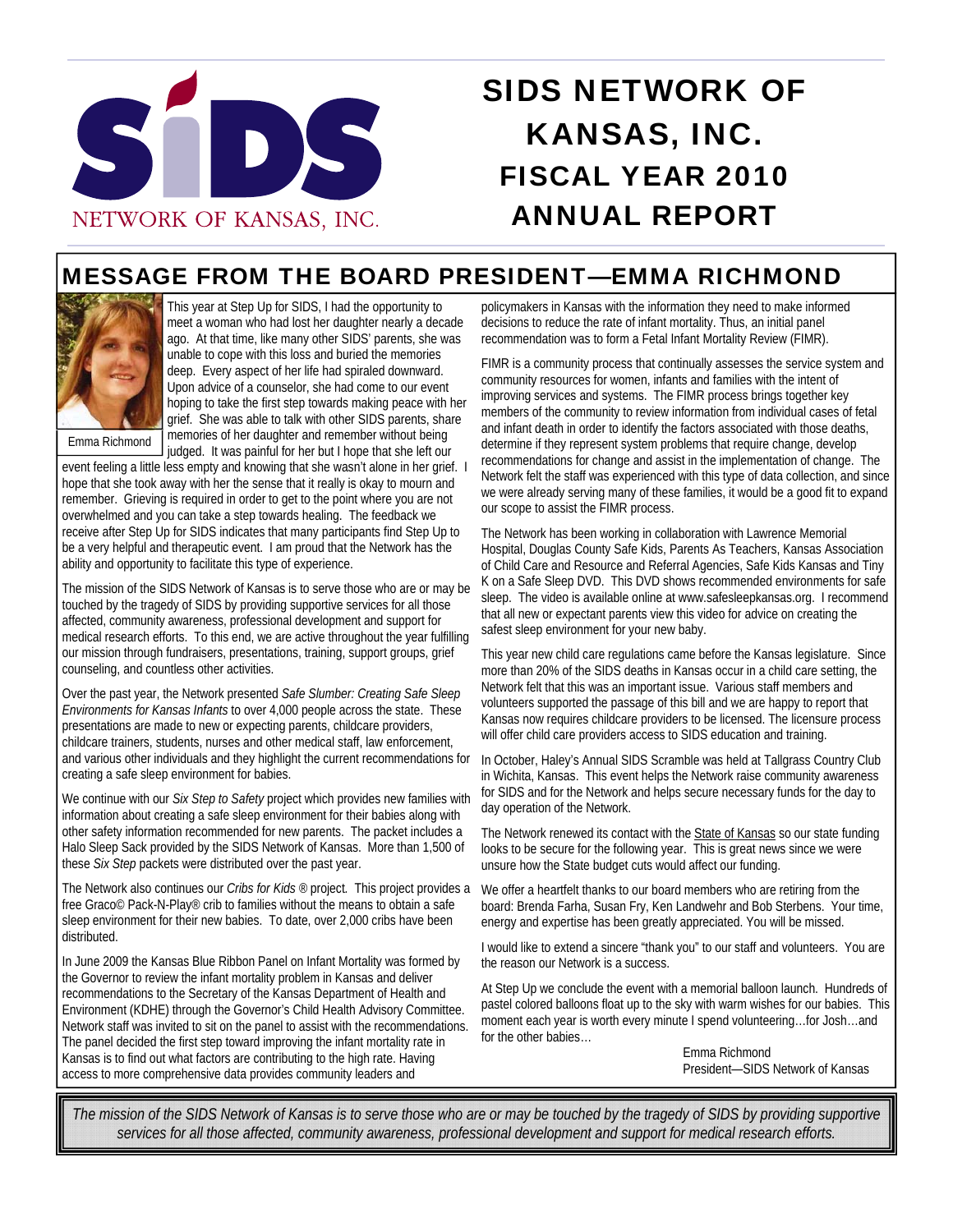

# SIDS NETWORK OF KANSAS, INC. FISCAL YEAR 2010 ANNUAL REPORT

## MESSAGE FROM THE BOARD PRESIDENT—EMMA RICHMOND



This year at Step Up for SIDS, I had the opportunity to meet a woman who had lost her daughter nearly a decade ago. At that time, like many other SIDS' parents, she was unable to cope with this loss and buried the memories deep. Every aspect of her life had spiraled downward. Upon advice of a counselor, she had come to our event hoping to take the first step towards making peace with her grief. She was able to talk with other SIDS parents, share memories of her daughter and remember without being judged. It was painful for her but I hope that she left our

Emma Richmond

event feeling a little less empty and knowing that she wasn't alone in her grief. I hope that she took away with her the sense that it really is okay to mourn and remember. Grieving is required in order to get to the point where you are not overwhelmed and you can take a step towards healing. The feedback we receive after Step Up for SIDS indicates that many participants find Step Up to be a very helpful and therapeutic event. I am proud that the Network has the ability and opportunity to facilitate this type of experience.

The mission of the SIDS Network of Kansas is to serve those who are or may be touched by the tragedy of SIDS by providing supportive services for all those affected, community awareness, professional development and support for medical research efforts. To this end, we are active throughout the year fulfilling our mission through fundraisers, presentations, training, support groups, grief counseling, and countless other activities.

Over the past year, the Network presented *Safe Slumber: Creating Safe Sleep Environments for Kansas Infants* to over 4,000 people across the state. These presentations are made to new or expecting parents, childcare providers, childcare trainers, students, nurses and other medical staff, law enforcement, and various other individuals and they highlight the current recommendations for creating a safe sleep environment for babies.

We continue with our *Six Step to Safety* project which provides new families with information about creating a safe sleep environment for their babies along with other safety information recommended for new parents. The packet includes a Halo Sleep Sack provided by the SIDS Network of Kansas. More than 1,500 of these *Six Step* packets were distributed over the past year.

The Network also continues our *Cribs for Kids ®* project*.* This project provides a free Graco© Pack-N-Play® crib to families without the means to obtain a safe sleep environment for their new babies. To date, over 2,000 cribs have been distributed.

In June 2009 the Kansas Blue Ribbon Panel on Infant Mortality was formed by the Governor to review the infant mortality problem in Kansas and deliver recommendations to the Secretary of the Kansas Department of Health and Environment (KDHE) through the Governor's Child Health Advisory Committee. Network staff was invited to sit on the panel to assist with the recommendations. The panel decided the first step toward improving the infant mortality rate in Kansas is to find out what factors are contributing to the high rate. Having access to more comprehensive data provides community leaders and

policymakers in Kansas with the information they need to make informed decisions to reduce the rate of infant mortality. Thus, an initial panel recommendation was to form a Fetal Infant Mortality Review (FIMR).

FIMR is a community process that continually assesses the service system and community resources for women, infants and families with the intent of improving services and systems. The FIMR process brings together key members of the community to review information from individual cases of fetal and infant death in order to identify the factors associated with those deaths, determine if they represent system problems that require change, develop recommendations for change and assist in the implementation of change. The Network felt the staff was experienced with this type of data collection, and since we were already serving many of these families, it would be a good fit to expand our scope to assist the FIMR process.

The Network has been working in collaboration with Lawrence Memorial Hospital, Douglas County Safe Kids, Parents As Teachers, Kansas Association of Child Care and Resource and Referral Agencies, Safe Kids Kansas and Tiny K on a Safe Sleep DVD. This DVD shows recommended environments for safe sleep. The video is available online at www.safesleepkansas.org. I recommend that all new or expectant parents view this video for advice on creating the safest sleep environment for your new baby.

This year new child care regulations came before the Kansas legislature. Since more than 20% of the SIDS deaths in Kansas occur in a child care setting, the Network felt that this was an important issue. Various staff members and volunteers supported the passage of this bill and we are happy to report that Kansas now requires childcare providers to be licensed. The licensure process will offer child care providers access to SIDS education and training.

In October, Haley's Annual SIDS Scramble was held at Tallgrass Country Club in Wichita, Kansas. This event helps the Network raise community awareness for SIDS and for the Network and helps secure necessary funds for the day to day operation of the Network.

The Network renewed its contact with the State of Kansas so our state funding looks to be secure for the following year. This is great news since we were unsure how the State budget cuts would affect our funding.

We offer a heartfelt thanks to our board members who are retiring from the board: Brenda Farha, Susan Fry, Ken Landwehr and Bob Sterbens. Your time, energy and expertise has been greatly appreciated. You will be missed.

I would like to extend a sincere "thank you" to our staff and volunteers. You are the reason our Network is a success.

At Step Up we conclude the event with a memorial balloon launch. Hundreds of pastel colored balloons float up to the sky with warm wishes for our babies. This moment each year is worth every minute I spend volunteering…for Josh…and for the other babies…

> Emma Richmond President—SIDS Network of Kansas

*The mission of the SIDS Network of Kansas is to serve those who are or may be touched by the tragedy of SIDS by providing supportive services for all those affected, community awareness, professional development and support for medical research efforts.*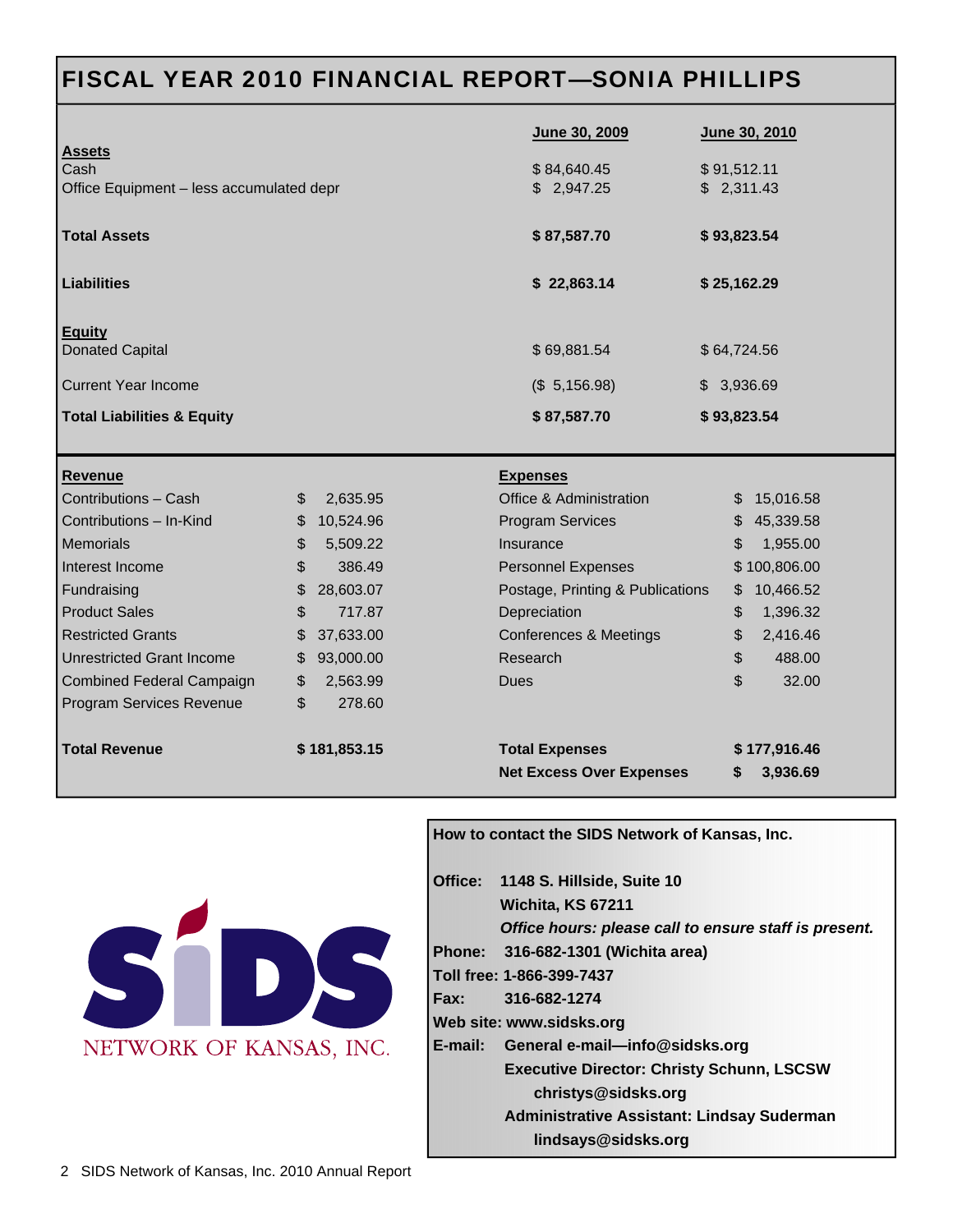## FISCAL YEAR 2010 FINANCIAL REPORT—SONIA PHILLIPS

| <b>Assets</b>                                    |    |                           | June 30, 2009                     |             | June 30, 2010 |  |
|--------------------------------------------------|----|---------------------------|-----------------------------------|-------------|---------------|--|
| Cash<br>Office Equipment - less accumulated depr |    | \$84,640.45<br>\$2,947.25 | \$91,512.11<br>\$2,311.43         |             |               |  |
|                                                  |    |                           |                                   |             |               |  |
| <b>Total Assets</b>                              |    |                           | \$87,587.70                       | \$93,823.54 |               |  |
| <b>Liabilities</b>                               |    |                           | \$22,863.14                       | \$25,162.29 |               |  |
|                                                  |    |                           |                                   |             |               |  |
| <b>Equity</b>                                    |    |                           |                                   |             |               |  |
| <b>Donated Capital</b>                           |    |                           | \$69,881.54                       | \$64,724.56 |               |  |
| <b>Current Year Income</b>                       |    |                           | (\$5,156.98)                      | \$3,936.69  |               |  |
| <b>Total Liabilities &amp; Equity</b>            |    |                           | \$87,587.70                       | \$93,823.54 |               |  |
|                                                  |    |                           |                                   |             |               |  |
|                                                  |    |                           |                                   |             |               |  |
| <b>Revenue</b>                                   |    |                           | <b>Expenses</b>                   |             |               |  |
| Contributions - Cash                             | \$ | 2,635.95                  | Office & Administration           |             | \$15,016.58   |  |
| Contributions - In-Kind                          | \$ | 10,524.96                 | <b>Program Services</b>           | \$.         | 45,339.58     |  |
| <b>Memorials</b>                                 | \$ | 5,509.22                  | Insurance                         | \$          | 1,955.00      |  |
| Interest Income                                  | \$ | 386.49                    | <b>Personnel Expenses</b>         |             | \$100,806.00  |  |
| Fundraising                                      | \$ | 28,603.07                 | Postage, Printing & Publications  | \$          | 10,466.52     |  |
| <b>Product Sales</b>                             | \$ | 717.87                    | Depreciation                      | \$          | 1,396.32      |  |
| <b>Restricted Grants</b>                         | \$ | 37,633.00                 | <b>Conferences &amp; Meetings</b> | \$          | 2,416.46      |  |
| <b>Unrestricted Grant Income</b>                 | \$ | 93,000.00                 | Research                          | \$          | 488.00        |  |
| <b>Combined Federal Campaign</b>                 | \$ | 2,563.99                  | Dues                              | \$          | 32.00         |  |
| Program Services Revenue                         | \$ | 278.60                    |                                   |             |               |  |
| <b>Total Revenue</b>                             |    | \$181,853.15              | <b>Total Expenses</b>             |             | \$177,916.46  |  |



### **How to contact the SIDS Network of Kansas, Inc.**

|                          |  | Office: 1148 S. Hillside, Suite 10                    |  |  |
|--------------------------|--|-------------------------------------------------------|--|--|
|                          |  | Wichita, KS 67211                                     |  |  |
|                          |  | Office hours: please call to ensure staff is present. |  |  |
|                          |  | Phone: 316-682-1301 (Wichita area)                    |  |  |
|                          |  | Toll free: 1-866-399-7437                             |  |  |
|                          |  | Fax: 316-682-1274                                     |  |  |
| Web site: www.sidsks.org |  |                                                       |  |  |
|                          |  | E-mail: General e-mail—info@sidsks.org                |  |  |
|                          |  | <b>Executive Director: Christy Schunn, LSCSW</b>      |  |  |
|                          |  | christys@sidsks.org                                   |  |  |
|                          |  | <b>Administrative Assistant: Lindsay Suderman</b>     |  |  |
|                          |  | lindsays@sidsks.org                                   |  |  |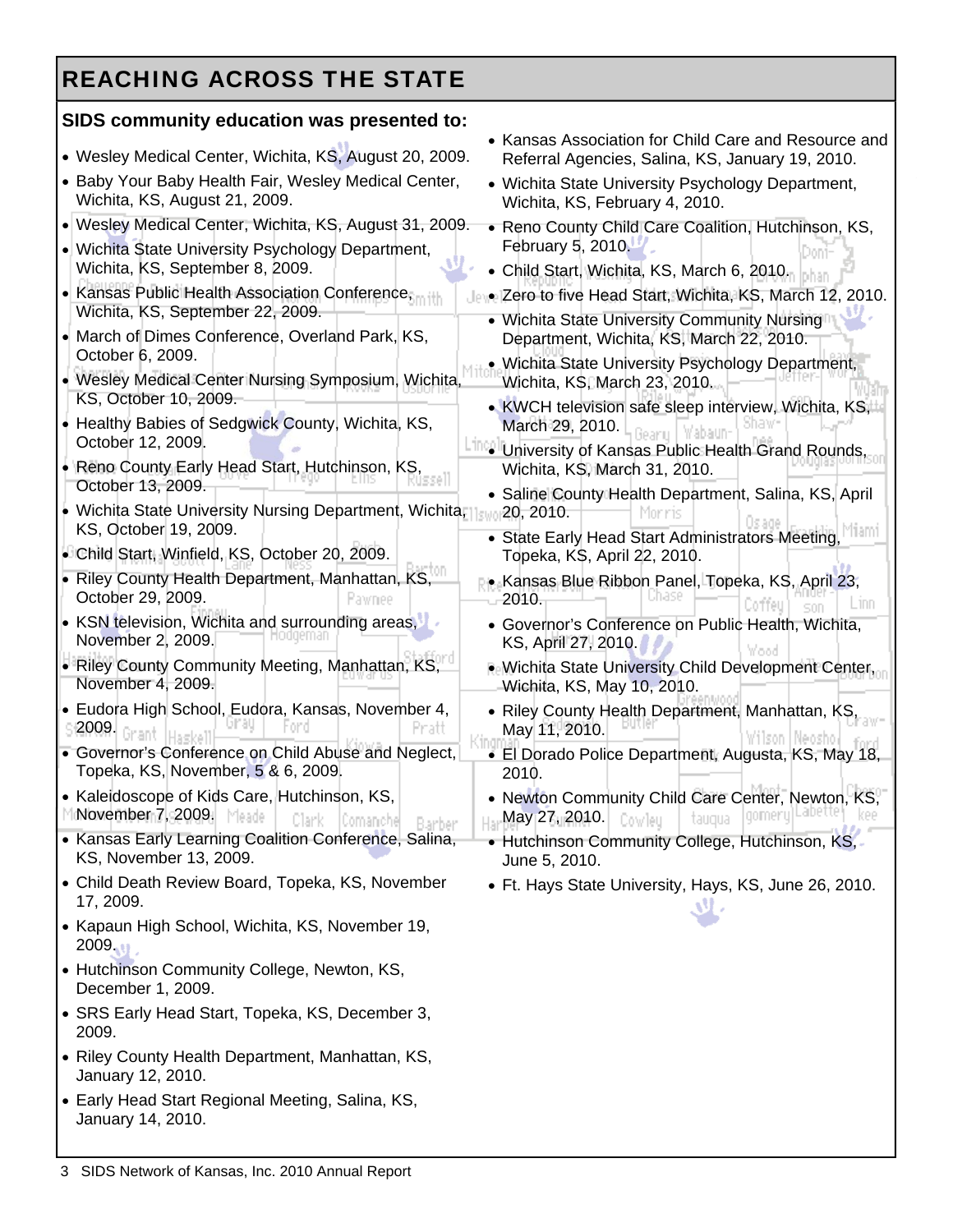## REACHING ACROSS THE STATE

### **SIDS community education was presented to:**

| • Wesley Medical Center, Wichita, KS, August 20, 2009.                                                                                         | • Kansas Association for Child Care and Resource and<br>Referral Agencies, Salina, KS, January 19, 2010.               |  |  |
|------------------------------------------------------------------------------------------------------------------------------------------------|------------------------------------------------------------------------------------------------------------------------|--|--|
| • Baby Your Baby Health Fair, Wesley Medical Center,<br>Wichita, KS, August 21, 2009.                                                          | • Wichita State University Psychology Department,<br>Wichita, KS, February 4, 2010.                                    |  |  |
| • Wesley Medical Center, Wichita, KS, August 31, 2009.<br>• Wichita State University Psychology Department,<br>Wichita, KS, September 8, 2009. | • Reno County Child Care Coalition, Hutchinson, KS,<br>February 5, 2010.<br>• Child Start, Wichita, KS, March 6, 2010. |  |  |
| • Kansas Public Health Association Conference,<br>Wichita, KS, September 22, 2009.                                                             | . Zero to five Head Start, Wichita, KS, March 12, 2010.<br>• Wichita State University Community Nursing                |  |  |
| • March of Dimes Conference, Overland Park, KS,<br>October 6, 2009.                                                                            | Department, Wichita, KS, March 22, 2010.<br>· Wichita State University Psychology Department,                          |  |  |
| • Wesley Medical Center Nursing Symposium, Wichita,<br>KS, October 10, 2009.                                                                   | Wichita, KS, March 23, 2010.                                                                                           |  |  |
| Healthy Babies of Sedgwick County, Wichita, KS,<br>October 12, 2009.                                                                           | • KWCH television safe sleep interview, Wichita, KS,<br>March 29, 2010.                                                |  |  |
| • Reno County Early Head Start, Hutchinson, KS,<br>October 13, 2009.                                                                           | <b>ITTO University of Kansas Public Health Grand Rounds,</b><br>Wichita, KS, March 31, 2010.                           |  |  |
| • Wichita State University Nursing Department, Wichita, Isla<br>KS, October 19, 2009.                                                          | • Saline County Health Department, Salina, KS, April<br>20, 2010.                                                      |  |  |
| • Child Start, Winfield, KS, October 20, 2009.                                                                                                 | • State Early Head Start Administrators Meeting,<br>Topeka, K\$, April 22, 2010.                                       |  |  |
| • Riley County Health Department, Manhattan, KS,<br>October 29, 2009.<br>Pawnee                                                                | • Kansas Blue Ribbon Panel, Topeka, KS, April 23,<br>2010.<br>.1NN                                                     |  |  |
| • KSN television, Wichita and surrounding areas,<br>November 2, 2009.                                                                          | • Governor's Conference on Public Health, Wichita,<br>KS, April 27, 2010.                                              |  |  |
| • Riley County Community Meeting, Manhattan, KS,<br>November 4, 2009.                                                                          | . Wichita State University Child Development Center,<br>Wichita, KS, May 10, 2010.                                     |  |  |
| • Eudora High School, Eudora, Kansas, November 4,<br>2009.                                                                                     | • Riley County Health Department, Manhattan, KS,<br>May 11, 2010.                                                      |  |  |
| • Governor's Conference on Child Abuse and Neglect,<br>Topeka, KS, November, 5 & 6, 2009.                                                      | · El Dorado Police Department, Augusta, KS, May 18,<br>2010.                                                           |  |  |
| • Kaleidoscope of Kids Care, Hutchinson, KS,<br>November 7, 2009.<br>Meade<br>Clark<br>Comaniche                                               | • Newton Community Child Care Center, Newton, KS,<br>May 27, 2010.<br>Cowleu<br>taugua                                 |  |  |
| • Kansas Early Learning Coalition Conference, Salina,<br>KS, November 13, 2009.                                                                | • Hutchinson Community College, Hutchinson, KS,<br>June 5, 2010.                                                       |  |  |
| • Child Death Review Board, Topeka, KS, November<br>17, 2009.                                                                                  | • Ft. Hays State University, Hays, KS, June 26, 2010.                                                                  |  |  |
| • Kapaun High School, Wichita, KS, November 19,<br>2009.11                                                                                     |                                                                                                                        |  |  |
| • Hutchinson Community College, Newton, KS,<br>December 1, 2009.                                                                               |                                                                                                                        |  |  |
| • SRS Early Head Start, Topeka, KS, December 3,<br>2009.                                                                                       |                                                                                                                        |  |  |
| • Riley County Health Department, Manhattan, KS,<br>January 12, 2010.                                                                          |                                                                                                                        |  |  |
| • Early Head Start Regional Meeting, Salina, KS,                                                                                               |                                                                                                                        |  |  |

January 14, 2010.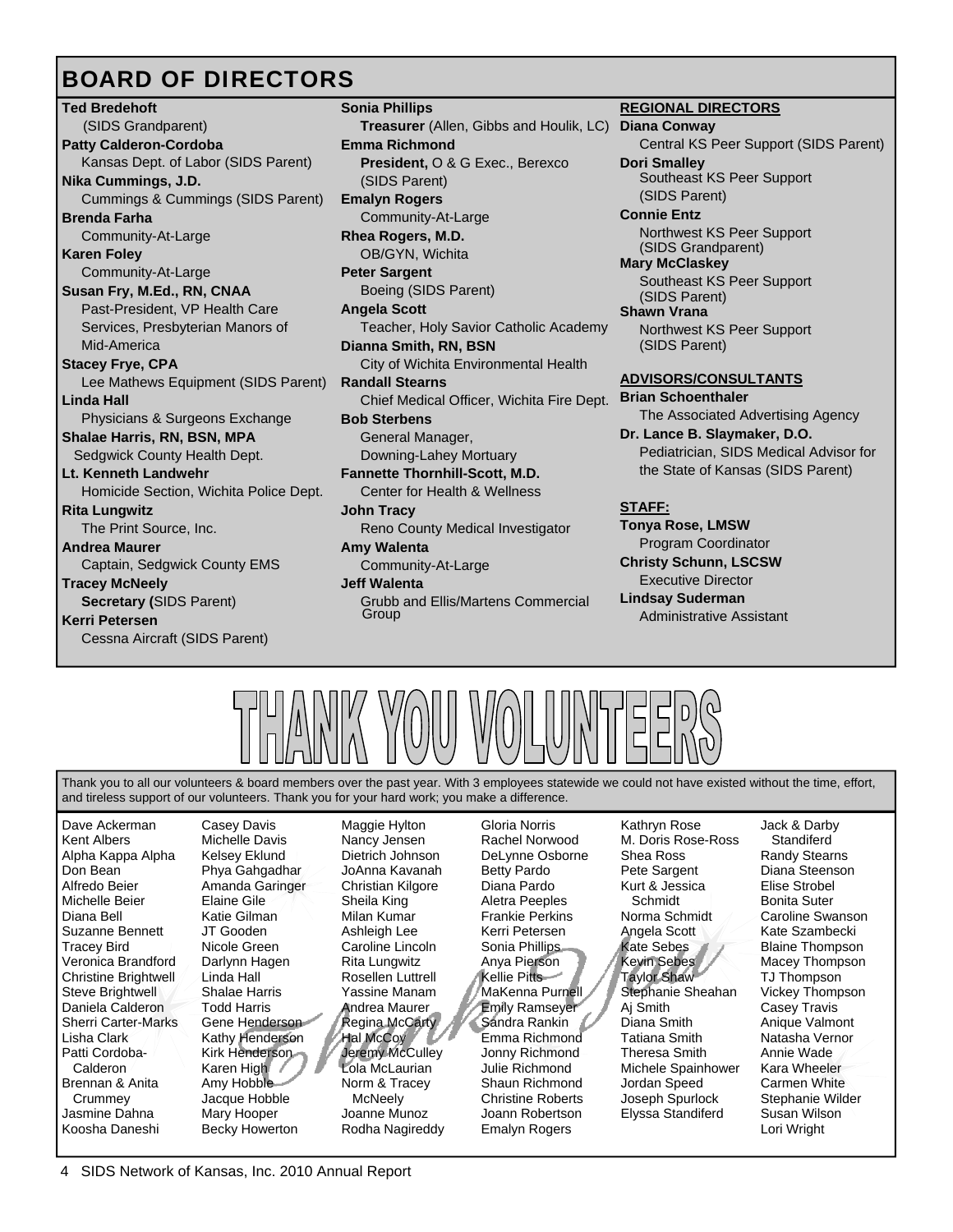## BOARD OF DIRECTORS

**Ted Bredehoft**  (SIDS Grandparent) **Patty Calderon-Cordoba**  Kansas Dept. of Labor (SIDS Parent) **Nika Cummings, J.D.** Cummings & Cummings (SIDS Parent) **Brenda Farha** Community-At-Large **Karen Foley** Community-At-Large **Susan Fry, M.Ed., RN, CNAA**  Past-President, VP Health Care Services, Presbyterian Manors of Mid-America **Stacey Frye, CPA**  Lee Mathews Equipment (SIDS Parent) **Linda Hall** Physicians & Surgeons Exchange **Shalae Harris, RN, BSN, MPA**  Sedgwick County Health Dept. **Lt. Kenneth Landwehr** Homicide Section, Wichita Police Dept. **Rita Lungwitz** The Print Source, Inc. **Andrea Maurer** Captain, Sedgwick County EMS **Tracey McNeely Secretary (**SIDS Parent) **Kerri Petersen** Cessna Aircraft (SIDS Parent)

**Sonia Phillips Treasurer** (Allen, Gibbs and Houlik, LC) **Emma Richmond President,** O & G Exec., Berexco (SIDS Parent) **Emalyn Rogers**  Community-At-Large **Rhea Rogers, M.D.** OB/GYN, Wichita **Peter Sargent**  Boeing (SIDS Parent) **Angela Scott**  Teacher, Holy Savior Catholic Academy **Dianna Smith, RN, BSN** City of Wichita Environmental Health **Randall Stearns** Chief Medical Officer, Wichita Fire Dept. **Bob Sterbens** General Manager, Downing-Lahey Mortuary **Fannette Thornhill-Scott, M.D.**  Center for Health & Wellness **John Tracy**  Reno County Medical Investigator **Amy Walenta**  Community-At-Large **Jeff Walenta**  Grubb and Ellis/Martens Commercial Group

### **REGIONAL DIRECTORS**

**Diana Conway** Central KS Peer Support (SIDS Parent) **Dori Smalley**  Southeast KS Peer Support (SIDS Parent) **Connie Entz** 

Northwest KS Peer Support (SIDS Grandparent) **Mary McClaskey** 

Southeast KS Peer Support (SIDS Parent)

**Shawn Vrana** Northwest KS Peer Support (SIDS Parent)

### **ADVISORS/CONSULTANTS**

**Brian Schoenthaler** The Associated Advertising Agency **Dr. Lance B. Slaymaker, D.O.** Pediatrician, SIDS Medical Advisor for the State of Kansas (SIDS Parent)

### **STAFF:**

**Tonya Rose, LMSW** Program Coordinator **Christy Schunn, LSCSW** Executive Director **Lindsay Suderman** Administrative Assistant



Thank you to all our volunteers & board members over the past year. With 3 employees statewide we could not have existed without the time, effort, and tireless support of our volunteers. Thank you for your hard work; you make a difference.

Dave Ackerman Kent Albers Alpha Kappa Alpha Don Bean Alfredo Beier Michelle Beier Diana Bell Suzanne Bennett Tracey Bird Veronica Brandford Christine Brightwell Steve Brightwell Daniela Calderon Sherri Carter-Marks Lisha Clark Patti Cordoba- Calderon Brennan & Anita Crummey Jasmine Dahna Koosha Daneshi

Casey Davis Michelle Davis Kelsey Eklund Phya Gahgadhar Amanda Garinger Elaine Gile Katie Gilman JT Gooden Nicole Green Darlynn Hagen Linda Hall Shalae Harris Todd Harris Gene Henderson Kathy Henderson Kirk Henderson Karen High Amy Hobble Jacque Hobble Mary Hooper Becky Howerton

Maggie Hylton Nancy Jensen Dietrich Johnson JoAnna Kavanah Christian Kilgore Sheila King Milan Kumar Ashleigh Lee Caroline Lincoln Rita Lungwitz Rosellen Luttrell Yassine Manam Andrea Maurer Regina McCarty Hal McCoy Jeremy McCulley Lola McLaurian Norm & Tracey McNeely Joanne Munoz Rodha Nagireddy

Gloria Norris Rachel Norwood DeLynne Osborne Betty Pardo Diana Pardo Aletra Peeples Frankie Perkins Kerri Petersen Sonia Phillips Anya Pierson Kellie Pitts MaKenna Purnell Emily Ramseyer Sandra Rankin Emma Richmond Jonny Richmond Julie Richmond Shaun Richmond Christine Roberts Joann Robertson Emalyn Rogers

Kathryn Rose M. Doris Rose-Ross Shea Ross Pete Sargent Kurt & Jessica Schmidt Norma Schmidt Angela Scott Kate Sebes Kevin Sebes Taylor Shaw Stephanie Sheahan Aj Smith Diana Smith Tatiana Smith Theresa Smith Michele Spainhower Jordan Speed Joseph Spurlock Elyssa Standiferd

Jack & Darby Standiferd Randy Stearns Diana Steenson Elise Strobel Bonita Suter Caroline Swanson Kate Szambecki Blaine Thompson Macey Thompson TJ Thompson Vickey Thompson Casey Travis Anique Valmont Natasha Vernor Annie Wade Kara Wheeler Carmen White Stephanie Wilder Susan Wilson Lori Wright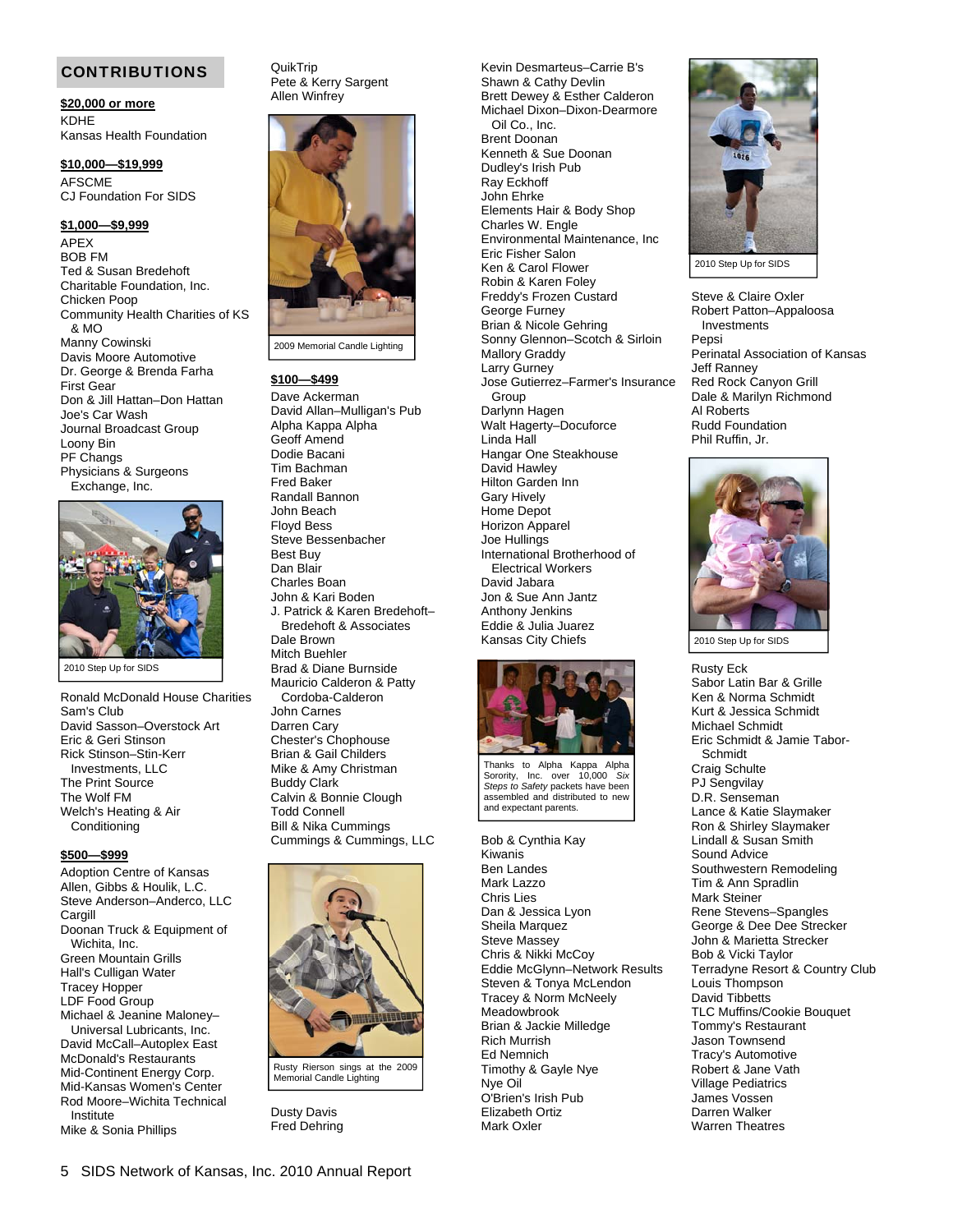#### CONTRIBUTIONS

**\$20,000 or more** KDHE Kansas Health Foundation

**\$10,000—\$19,999** AFSCME CJ Foundation For SIDS

#### **\$1,000—\$9,999**

APEX BOB FM Ted & Susan Bredehoft Charitable Foundation, Inc. Chicken Poop Community Health Charities of KS & MO Manny Cowinski Davis Moore Automotive Dr. George & Brenda Farha First Gear Don & Jill Hattan–Don Hattan Joe's Car Wash Journal Broadcast Group Loony Bin PF Changs Physicians & Surgeons Exchange, Inc.



2010 Step Up for SIDS

Ronald McDonald House Charities Sam's Club David Sasson–Overstock Art Eric & Geri Stinson Rick Stinson–Stin-Kerr Investments, LLC The Print Source The Wolf FM Welch's Heating & Air **Conditioning** 

#### **\$500—\$999**

Adoption Centre of Kansas Allen, Gibbs & Houlik, L.C. Steve Anderson–Anderco, LLC **Cargill** Doonan Truck & Equipment of Wichita, Inc. Green Mountain Grills Hall's Culligan Water Tracey Hopper LDF Food Group Michael & Jeanine Maloney– Universal Lubricants, Inc. David McCall–Autoplex East McDonald's Restaurants Mid-Continent Energy Corp. Mid-Kansas Women's Center

Rod Moore–Wichita Technical Institute Mike & Sonia Phillips

QuikTrip Pete & Kerry Sargent Allen Winfrey



2009 Memorial Candle Lighting

#### **\$100—\$499**

Dave Ackerman David Allan–Mulligan's Pub Alpha Kappa Alpha Geoff Amend Dodie Bacani Tim Bachman Fred Baker Randall Bannon John Beach Floyd Bess Steve Bessenbacher Best Buy Dan Blair Charles Boan John & Kari Boden J. Patrick & Karen Bredehoft– Bredehoft & Associates Dale Brown Mitch Buehler Brad & Diane Burnside Mauricio Calderon & Patty Cordoba-Calderon John Carnes Darren Cary Chester's Chophouse Brian & Gail Childers Mike & Amy Christman Buddy Clark Calvin & Bonnie Clough Todd Connell Bill & Nika Cummings Cummings & Cummings, LLC



Rusty Rierson sings at the 2009 Memorial Candle Lighting

Dusty Davis Fred Dehring Kevin Desmarteus–Carrie B's Shawn & Cathy Devlin Brett Dewey & Esther Calderon Michael Dixon–Dixon-Dearmore Oil Co., Inc. Brent Doonan Kenneth & Sue Doonan Dudley's Irish Pub Ray Eckhoff John Ehrke Elements Hair & Body Shop Charles W. Engle Environmental Maintenance, Inc Eric Fisher Salon Ken & Carol Flower Robin & Karen Foley Freddy's Frozen Custard George Furney Brian & Nicole Gehring Sonny Glennon–Scotch & Sirloin Mallory Graddy Larry Gurney Jose Gutierrez–Farmer's Insurance Group Darlynn Hagen Walt Hagerty–Docuforce Linda Hall Hangar One Steakhouse David Hawley Hilton Garden Inn Gary Hively Home Depot Horizon Apparel Joe Hullings International Brotherhood of Electrical Workers David Jabara Jon & Sue Ann Jantz Anthony Jenkins Eddie & Julia Juarez Kansas City Chiefs



Thanks to Alpha Kappa Alpha Sorority, Inc. over 10,000 *Six Steps to Safety* packets have been assembled and distributed to new and expectant parents.

Bob & Cynthia Kay Kiwanis Ben Landes Mark Lazzo Chris Lies Dan & Jessica Lyon Sheila Marquez Steve Massey Chris & Nikki McCoy Eddie McGlynn–Network Results Steven & Tonya McLendon Tracey & Norm McNeely Meadowbrook Brian & Jackie Milledge Rich Murrish Ed Nemnich Timothy & Gayle Nye Nye Oil O'Brien's Irish Pub Elizabeth Ortiz Mark Oxler



Steve & Claire Oxler Robert Patton–Appaloosa Investments Pepsi Perinatal Association of Kansas Jeff Ranney Red Rock Canyon Grill Dale & Marilyn Richmond Al Roberts Rudd Foundation Phil Ruffin, Jr.



2010 Step Up for SIDS

Rusty Eck Sabor Latin Bar & Grille Ken & Norma Schmidt Kurt & Jessica Schmidt Michael Schmidt Eric Schmidt & Jamie Tabor- Schmidt Craig Schulte PJ Sengvilay D.R. Senseman Lance & Katie Slaymaker Ron & Shirley Slaymaker Lindall & Susan Smith Sound Advice Southwestern Remodeling Tim & Ann Spradlin Mark Steiner Rene Stevens–Spangles George & Dee Dee Strecker John & Marietta Strecker Bob & Vicki Taylor Terradyne Resort & Country Club Louis Thompson David Tibbetts TLC Muffins/Cookie Bouquet Tommy's Restaurant Jason Townsend Tracy's Automotive Robert & Jane Vath Village Pediatrics James Vossen Darren Walker Warren Theatres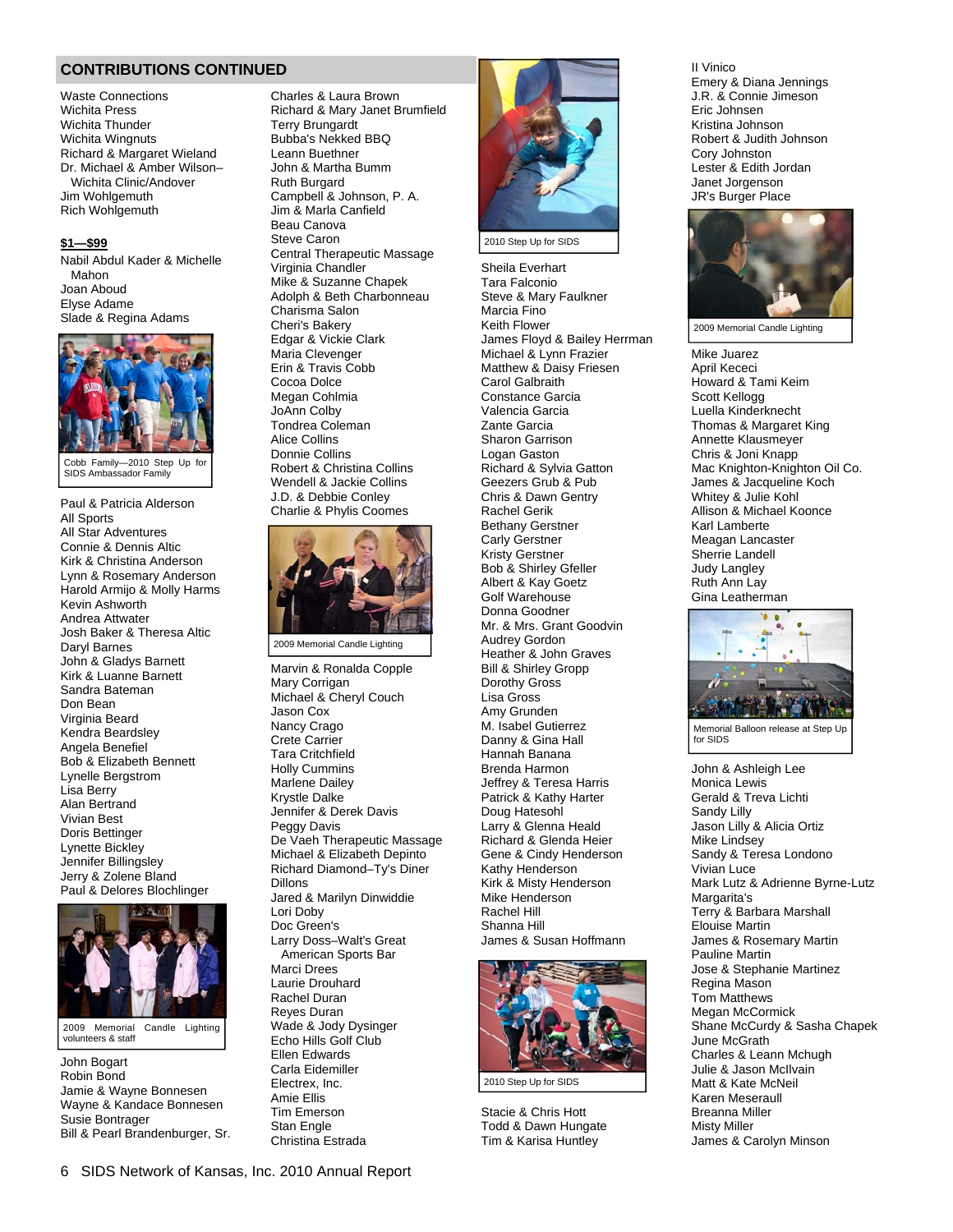#### **CONTRIBUTIONS CONTINUED**

Waste Connections Wichita Press Wichita Thunder Wichita Wingnuts Richard & Margaret Wieland Dr. Michael & Amber Wilson– Wichita Clinic/Andover Jim Wohlgemuth Rich Wohlgemuth

#### **\$1—\$99**

Nabil Abdul Kader & Michelle Mahon Joan Aboud Elyse Adame Slade & Regina Adams



Cobb Family-2010 Step Up fo SIDS Ambassador Family

Paul & Patricia Alderson All Sports All Star Adventures Connie & Dennis Altic Kirk & Christina Anderson Lynn & Rosemary Anderson Harold Armijo & Molly Harms Kevin Ashworth Andrea Attwater Josh Baker & Theresa Altic Daryl Barnes John & Gladys Barnett Kirk & Luanne Barnett Sandra Bateman Don Bean Virginia Beard Kendra Beardsley Angela Benefiel Bob & Elizabeth Bennett Lynelle Bergstrom Lisa Berry Alan Bertrand Vivian Best Doris Bettinger Lynette Bickley Jennifer Billingsley Jerry & Zolene Bland Paul & Delores Blochlinger



2009 Memorial Candle Lighting volunteers & staff

John Bogart Robin Bond Jamie & Wayne Bonnesen Wayne & Kandace Bonnesen Susie Bontrager Bill & Pearl Brandenburger, Sr.

Charles & Laura Brown Richard & Mary Janet Brumfield Terry Brungardt Bubba's Nekked BBQ Leann Buethner John & Martha Bumm Ruth Burgard Campbell & Johnson, P. A. Jim & Marla Canfield Beau Canova Steve Caron Central Therapeutic Massage Virginia Chandler Mike & Suzanne Chapek Adolph & Beth Charbonneau Charisma Salon Cheri's Bakery Edgar & Vickie Clark Maria Clevenger Erin & Travis Cobb Cocoa Dolce Megan Cohlmia JoAnn Colby Tondrea Coleman Alice Collins Donnie Collins Robert & Christina Collins Wendell & Jackie Collins J.D. & Debbie Conley Charlie & Phylis Coomes



2009 Memorial Candle Lighting

Marvin & Ronalda Copple Mary Corrigan Michael & Cheryl Couch Jason Cox Nancy Crago Crete Carrier Tara Critchfield Holly Cummins Marlene Dailey Krystle Dalke Jennifer & Derek Davis Peggy Davis De Vaeh Therapeutic Massage Michael & Elizabeth Depinto Richard Diamond–Ty's Diner Dillons Jared & Marilyn Dinwiddie Lori Doby Doc Green's Larry Doss–Walt's Great American Sports Bar Marci Drees Laurie Drouhard Rachel Duran Reyes Duran Wade & Jody Dysinger Echo Hills Golf Club Ellen Edwards Carla Eidemiller Electrex, Inc. Amie Ellis Tim Emerson Stan Engle

Christina Estrada



2010 Step Up for SIDS

Sheila Everhart Tara Falconio Steve & Mary Faulkner Marcia Fino Keith Flower James Floyd & Bailey Herrman Michael & Lynn Frazier Matthew & Daisy Friesen Carol Galbraith Constance Garcia Valencia Garcia Zante Garcia Sharon Garrison Logan Gaston Richard & Sylvia Gatton Geezers Grub & Pub Chris & Dawn Gentry Rachel Gerik Bethany Gerstner Carly Gerstner Kristy Gerstner Bob & Shirley Gfeller Albert & Kay Goetz Golf Warehouse Donna Goodner Mr. & Mrs. Grant Goodvin Audrey Gordon Heather & John Graves Bill & Shirley Gropp Dorothy Gross Lisa Gross Amy Grunden M. Isabel Gutierrez Danny & Gina Hall Hannah Banana Brenda Harmon Jeffrey & Teresa Harris Patrick & Kathy Harter Doug Hatesohl Larry & Glenna Heald Richard & Glenda Heier Gene & Cindy Henderson Kathy Henderson Kirk & Misty Henderson Mike Henderson Rachel Hill Shanna Hill James & Susan Hoffmann



Stacie & Chris Hott Todd & Dawn Hungate

Tim & Karisa Huntley

II Vinico Emery & Diana Jennings J.R. & Connie Jimeson Eric Johnsen Kristina Johnson Robert & Judith Johnson Cory Johnston Lester & Edith Jordan Janet Jorgenson JR's Burger Place



2009 Memorial Candle Lighting

Mike Juarez April Kececi Howard & Tami Keim Scott Kellogg Luella Kinderknecht Thomas & Margaret King Annette Klausmeyer Chris & Joni Knapp Mac Knighton-Knighton Oil Co. James & Jacqueline Koch Whitey & Julie Kohl Allison & Michael Koonce Karl Lamberte Meagan Lancaster Sherrie Landell Judy Langley Ruth Ann Lay Gina Leatherman



Memorial Balloon release at Step Up for SIDS

John & Ashleigh Lee Monica Lewis Gerald & Treva Lichti Sandy Lilly Jason Lilly & Alicia Ortiz Mike Lindsey Sandy & Teresa Londono Vivian Luce Mark Lutz & Adrienne Byrne-Lutz Margarita's Terry & Barbara Marshall Elouise Martin James & Rosemary Martin Pauline Martin Jose & Stephanie Martinez Regina Mason Tom Matthews Megan McCormick Shane McCurdy & Sasha Chapek June McGrath Charles & Leann Mchugh Julie & Jason McIlvain Matt & Kate McNeil Karen Meseraull Breanna Miller Misty Miller James & Carolyn Minson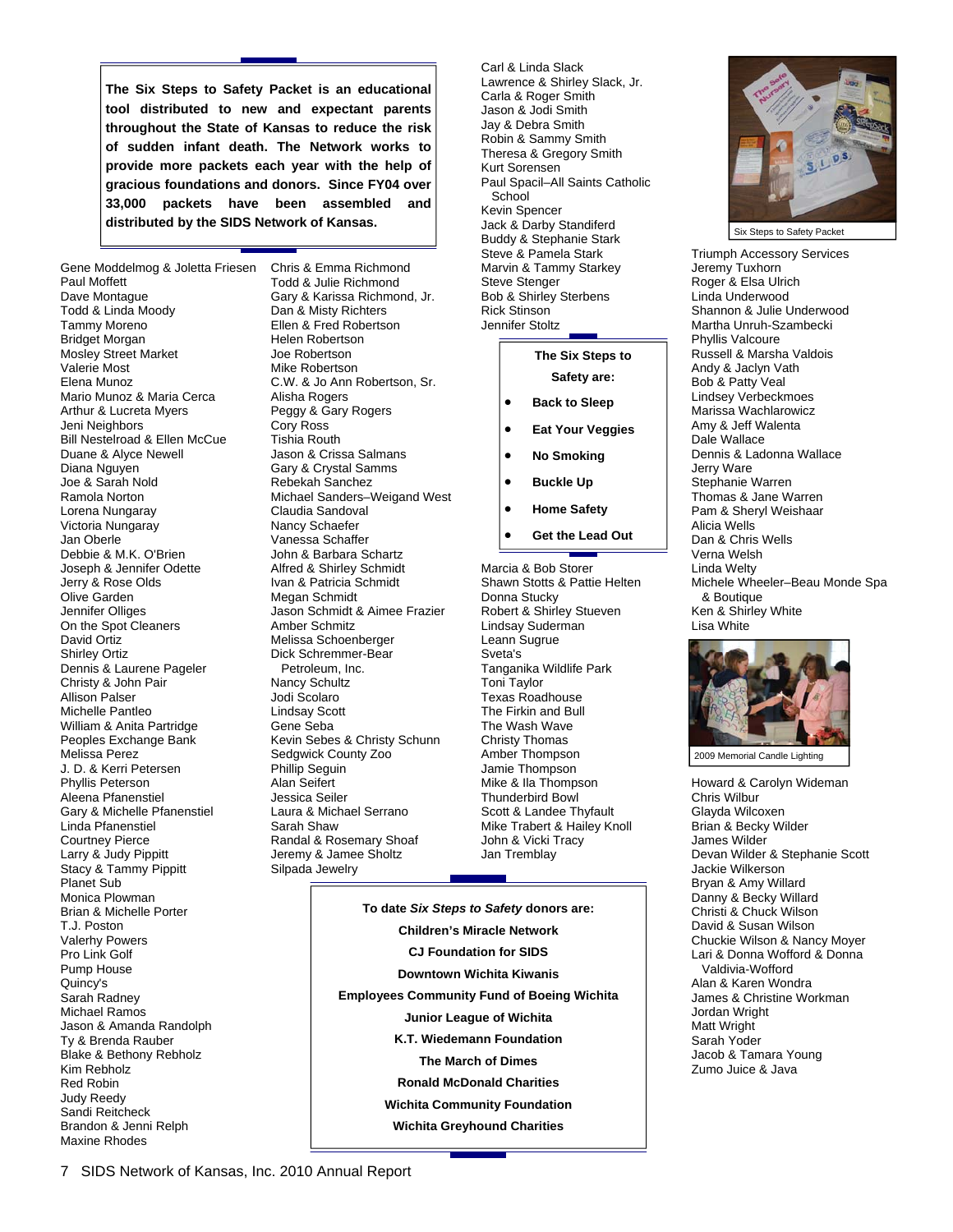**The Six Steps to Safety Packet is an educational tool distributed to new and expectant parents throughout the State of Kansas to reduce the risk of sudden infant death. The Network works to provide more packets each year with the help of gracious foundations and donors. Since FY04 over 33,000 packets have been assembled and distributed by the SIDS Network of Kansas.** 

Gene Moddelmog & Joletta Friesen Chris & Emma Richmond Paul Moffett Dave Montague Todd & Linda Moody Tammy Moreno Bridget Morgan Mosley Street Market Valerie Most Elena Munoz Mario Munoz & Maria Cerca Arthur & Lucreta Myers Jeni Neighbors Bill Nestelroad & Ellen McCue Duane & Alyce Newell Diana Nguyen Joe & Sarah Nold Ramola Norton Lorena Nungaray Victoria Nungaray Jan Oberle Debbie & M.K. O'Brien Joseph & Jennifer Odette Jerry & Rose Olds Olive Garden Jennifer Olliges On the Spot Cleaners David Ortiz Shirley Ortiz Dennis & Laurene Pageler Christy & John Pair Allison Palser Michelle Pantleo William & Anita Partridge Peoples Exchange Bank Melissa Perez J. D. & Kerri Petersen Phyllis Peterson Aleena Pfanenstiel Gary & Michelle Pfanenstiel Linda Pfanenstiel Courtney Pierce Larry & Judy Pippitt Stacy & Tammy Pippitt Planet Sub Monica Plowman Brian & Michelle Porter T.J. Poston Valerhy Powers Pro Link Golf Pump House Quincy's Sarah Radney Michael Ramos Jason & Amanda Randolph Ty & Brenda Rauber Blake & Bethony Rebholz Kim Rebholz Red Robin Judy Reedy Sandi Reitcheck Brandon & Jenni Relph Maxine Rhodes

Todd & Julie Richmond Gary & Karissa Richmond, Jr. Dan & Misty Richters Ellen & Fred Robertson Helen Robertson Joe Robertson Mike Robertson C.W. & Jo Ann Robertson, Sr. Alisha Rogers Peggy & Gary Rogers Cory Ross Tishia Routh Jason & Crissa Salmans Gary & Crystal Samms Rebekah Sanchez Michael Sanders–Weigand West Claudia Sandoval Nancy Schaefer Vanessa Schaffer John & Barbara Schartz Alfred & Shirley Schmidt Ivan & Patricia Schmidt Megan Schmidt Jason Schmidt & Aimee Frazier Amber Schmitz Melissa Schoenberger Dick Schremmer-Bear Petroleum, Inc. Nancy Schultz Jodi Scolaro Lindsay Scott Gene Seba Kevin Sebes & Christy Schunn Sedgwick County Zoo Phillip Seguin Alan Seifert Jessica Seiler Laura & Michael Serrano Sarah Shaw Randal & Rosemary Shoaf Jeremy & Jamee Sholtz Silpada Jewelry

Carl & Linda Slack Lawrence & Shirley Slack, Jr. Carla & Roger Smith Jason & Jodi Smith Jay & Debra Smith Robin & Sammy Smith Theresa & Gregory Smith Kurt Sorensen Paul Spacil–All Saints Catholic **School** Kevin Spencer Jack & Darby Standiferd Buddy & Stephanie Stark Steve & Pamela Stark Marvin & Tammy Starkey Steve Stenger Bob & Shirley Sterbens Rick Stinson

### **The Six Steps to**

**Safety are:** 

Jennifer Stoltz

- **Back to Sleep**
- **Eat Your Veggies**
- **No Smoking**
- **Buckle Up**
- **Home Safety**
- **Get the Lead Out**

Marcia & Bob Storer Shawn Stotts & Pattie Helten Donna Stucky Robert & Shirley Stueven Lindsay Suderman Leann Sugrue Sveta's Tanganika Wildlife Park Toni Taylor Texas Roadhouse The Firkin and Bull The Wash Wave Christy Thomas Amber Thompson Jamie Thompson Mike & Ila Thompson Thunderbird Bowl Scott & Landee Thyfault Mike Trabert & Hailey Knoll John & Vicki Tracy Jan Tremblay

**To date** *Six Steps to Safety* **donors are: Children's Miracle Network CJ Foundation for SIDS Downtown Wichita Kiwanis Employees Community Fund of Boeing Wichita Junior League of Wichita K.T. Wiedemann Foundation The March of Dimes Ronald McDonald Charities Wichita Community Foundation Wichita Greyhound Charities** 



Triumph Accessory Services Jeremy Tuxhorn Roger & Elsa Ulrich Linda Underwood Shannon & Julie Underwood Martha Unruh-Szambecki Phyllis Valcoure Russell & Marsha Valdois Andy & Jaclyn Vath Bob & Patty Veal Lindsey Verbeckmoes Marissa Wachlarowicz Amy & Jeff Walenta Dale Wallace Dennis & Ladonna Wallace Jerry Ware Stephanie Warren Thomas & Jane Warren Pam & Sheryl Weishaar Alicia Wells Dan & Chris Wells Verna Welsh Linda Welty Michele Wheeler–Beau Monde Spa & Boutique Ken & Shirley White Lisa White



2009 Memorial Candle Lighting

Howard & Carolyn Wideman Chris Wilbur Glayda Wilcoxen Brian & Becky Wilder James Wilder Devan Wilder & Stephanie Scott Jackie Wilkerson Bryan & Amy Willard Danny & Becky Willard Christi & Chuck Wilson David & Susan Wilson Chuckie Wilson & Nancy Moyer Lari & Donna Wofford & Donna Valdivia-Wofford Alan & Karen Wondra James & Christine Workman Jordan Wright Matt Wright Sarah Yoder Jacob & Tamara Young Zumo Juice & Java